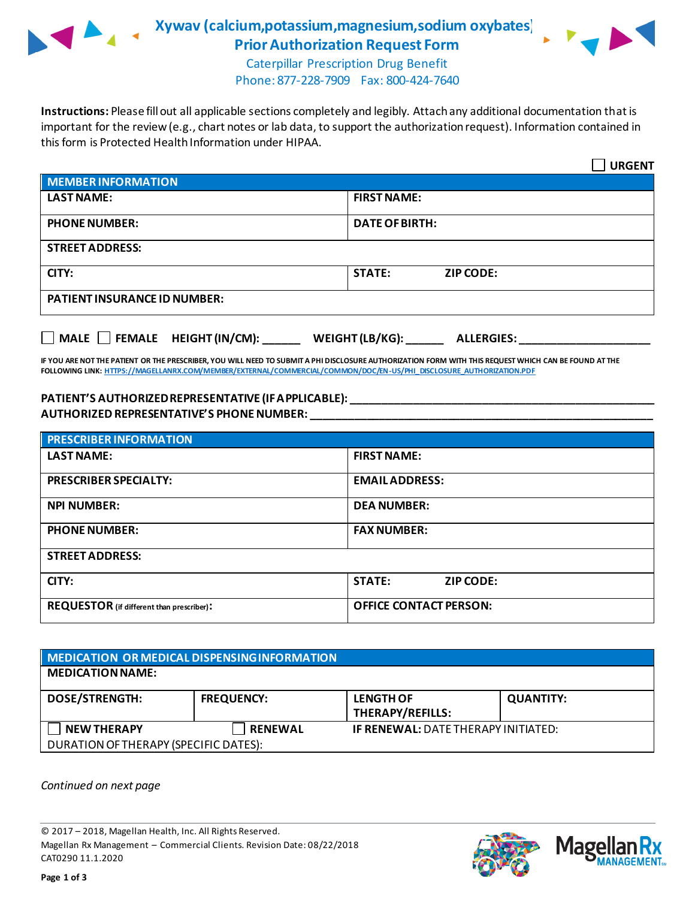

**Xywav (calcium,potassium,magnesium,sodium oxybates)) Prior Authorization Request Form**



Caterpillar Prescription Drug Benefit Phone: 877-228-7909 Fax: 800-424-7640

**Instructions:** Please fill out all applicable sections completely and legibly. Attach any additional documentation that is important for the review (e.g., chart notes or lab data, to support the authorization request). Information contained in this form is Protected Health Information under HIPAA.

|                                                                                   | <b>URGENT</b>                     |  |
|-----------------------------------------------------------------------------------|-----------------------------------|--|
| <b>MEMBER INFORMATION</b>                                                         |                                   |  |
| <b>LAST NAME:</b>                                                                 | <b>FIRST NAME:</b>                |  |
| <b>PHONE NUMBER:</b>                                                              | <b>DATE OF BIRTH:</b>             |  |
| <b>STREET ADDRESS:</b>                                                            |                                   |  |
| CITY:                                                                             | <b>STATE:</b><br><b>ZIP CODE:</b> |  |
| <b>PATIENT INSURANCE ID NUMBER:</b>                                               |                                   |  |
| $\Box$ MALE $\Box$ FEMALE HEIGHT (IN/CM):<br>WEIGHT (LB/KG):<br><b>ALLERGIES:</b> |                                   |  |

**IF YOU ARE NOT THE PATIENT OR THE PRESCRIBER, YOU WILL NEED TO SUBMIT A PHI DISCLOSURE AUTHORIZATION FORM WITH THIS REQUEST WHICH CAN BE FOUND AT THE FOLLOWING LINK[: HTTPS://MAGELLANRX.COM/MEMBER/EXTERNAL/COMMERCIAL/COMMON/DOC/EN-US/PHI\\_DISCLOSURE\\_AUTHORIZATION.PDF](https://magellanrx.com/member/external/commercial/common/doc/en-us/PHI_Disclosure_Authorization.pdf)**

### **PATIENT'S AUTHORIZED REPRESENTATIVE (IF APPLICABLE): \_\_\_\_\_\_\_\_\_\_\_\_\_\_\_\_\_\_\_\_\_\_\_\_\_\_\_\_\_\_\_\_\_\_\_\_\_\_\_\_\_\_\_\_\_\_\_\_\_ AUTHORIZED REPRESENTATIVE'S PHONE NUMBER: \_\_\_\_\_\_\_\_\_\_\_\_\_\_\_\_\_\_\_\_\_\_\_\_\_\_\_\_\_\_\_\_\_\_\_\_\_\_\_\_\_\_\_\_\_\_\_\_\_\_\_\_\_\_\_**

| <b>PRESCRIBER INFORMATION</b>             |                                   |  |  |
|-------------------------------------------|-----------------------------------|--|--|
| <b>LAST NAME:</b>                         | <b>FIRST NAME:</b>                |  |  |
| <b>PRESCRIBER SPECIALTY:</b>              | <b>EMAIL ADDRESS:</b>             |  |  |
| <b>NPI NUMBER:</b>                        | <b>DEA NUMBER:</b>                |  |  |
| <b>PHONE NUMBER:</b>                      | <b>FAX NUMBER:</b>                |  |  |
| <b>STREET ADDRESS:</b>                    |                                   |  |  |
| CITY:                                     | <b>STATE:</b><br><b>ZIP CODE:</b> |  |  |
| REQUESTOR (if different than prescriber): | <b>OFFICE CONTACT PERSON:</b>     |  |  |

# **MEDICATION OR MEDICAL DISPENSING INFORMATION MEDICATION NAME: DOSE/STRENGTH: FREQUENCY: LENGTH OF THERAPY/REFILLS: QUANTITY: NEW THERAPY RENEWAL IF RENEWAL:** DATE THERAPY INITIATED: DURATION OF THERAPY (SPECIFIC DATES):

*Continued on next page*

© 2017 – 2018, Magellan Health, Inc. All Rights Reserved. Magellan Rx Management – Commercial Clients. Revision Date: 08/22/2018 CAT0290 11.1.2020



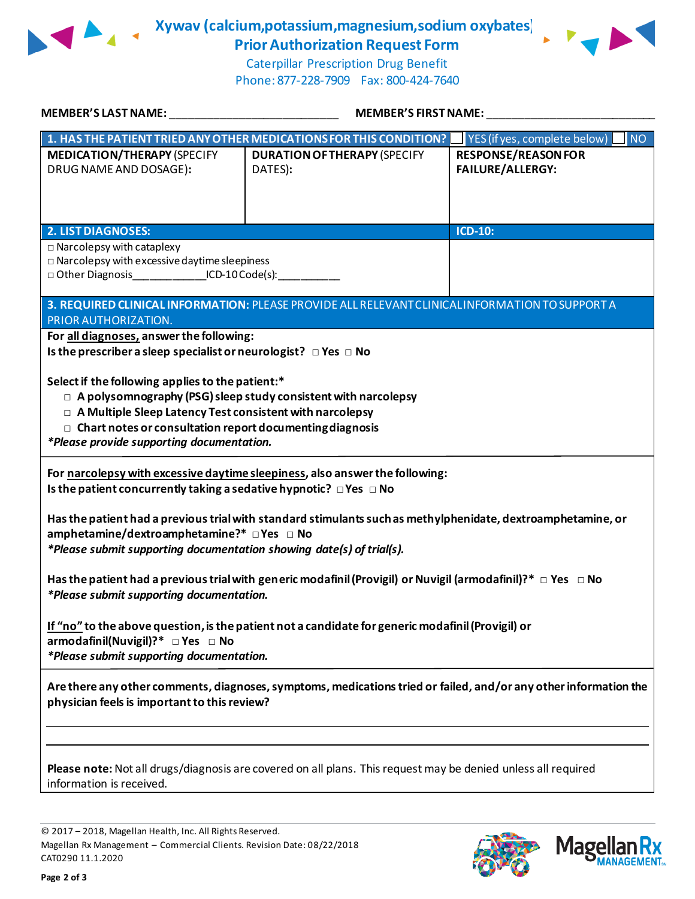

**Xywav (calcium,potassium,magnesium,sodium oxybates)) Prior Authorization Request Form**



Caterpillar Prescription Drug Benefit Phone: 877-228-7909 Fax: 800-424-7640

| <b>MEMBER'S LAST NAME:</b>                                                                                                                                                                                                                                                                         | MEMBER'S FIRST NAME:                                               |                                                       |  |
|----------------------------------------------------------------------------------------------------------------------------------------------------------------------------------------------------------------------------------------------------------------------------------------------------|--------------------------------------------------------------------|-------------------------------------------------------|--|
|                                                                                                                                                                                                                                                                                                    | 1. HAS THE PATIENT TRIED ANY OTHER MEDICATIONS FOR THIS CONDITION? | <b>NO</b><br>YES (if yes, complete below)             |  |
| <b>MEDICATION/THERAPY (SPECIFY</b><br>DRUG NAME AND DOSAGE):                                                                                                                                                                                                                                       | <b>DURATION OF THERAPY (SPECIFY</b><br>DATES):                     | <b>RESPONSE/REASON FOR</b><br><b>FAILURE/ALLERGY:</b> |  |
| <b>2. LIST DIAGNOSES:</b>                                                                                                                                                                                                                                                                          |                                                                    | ICD-10:                                               |  |
| $\square$ Narcolepsy with cataplexy<br>$\square$ Narcolepsy with excessive daytime sleepiness<br>□ Other Diagnosis ____________________ICD-10 Code(s):___________                                                                                                                                  |                                                                    |                                                       |  |
| 3. REQUIRED CLINICAL INFORMATION: PLEASE PROVIDE ALL RELEVANT CLINICAL INFORMATION TO SUPPORT A<br>PRIOR AUTHORIZATION.                                                                                                                                                                            |                                                                    |                                                       |  |
| For all diagnoses, answer the following:<br>Is the prescriber a sleep specialist or neurologist? $\Box$ Yes $\Box$ No                                                                                                                                                                              |                                                                    |                                                       |  |
| Select if the following applies to the patient:*<br>□ A polysomnography (PSG) sleep study consistent with narcolepsy<br>□ A Multiple Sleep Latency Test consistent with narcolepsy<br>$\Box$ Chart notes or consultation report documenting diagnosis<br>*Please provide supporting documentation. |                                                                    |                                                       |  |
| For narcolepsy with excessive daytime sleepiness, also answer the following:<br>Is the patient concurrently taking a sedative hypnotic? $\Box$ Yes $\Box$ No                                                                                                                                       |                                                                    |                                                       |  |
| Has the patient had a previous trial with standard stimulants such as methylphenidate, dextroamphetamine, or<br>amphetamine/dextroamphetamine?* □ Yes □ No<br>*Please submit supporting documentation showing date(s) of trial(s).                                                                 |                                                                    |                                                       |  |
| Has the patient had a previous trial with generic modafinil (Provigil) or Nuvigil (armodafinil)?* $\Box$ Yes $\Box$ No<br>*Please submit supporting documentation.                                                                                                                                 |                                                                    |                                                       |  |
| If "no" to the above question, is the patient not a candidate for generic modafinil (Provigil) or<br>armodafinil(Nuvigil)?* □ Yes □ No<br>*Please submit supporting documentation.                                                                                                                 |                                                                    |                                                       |  |
| Are there any other comments, diagnoses, symptoms, medications tried or failed, and/or any other information the<br>physician feels is important to this review?                                                                                                                                   |                                                                    |                                                       |  |
|                                                                                                                                                                                                                                                                                                    |                                                                    |                                                       |  |
| Please note: Not all drugs/diagnosis are covered on all plans. This request may be denied unless all required<br>information is received.                                                                                                                                                          |                                                                    |                                                       |  |

© 2017 – 2018, Magellan Health, Inc. All Rights Reserved. Magellan Rx Management – Commercial Clients. Revision Date: 08/22/2018 CAT0290 11.1.2020